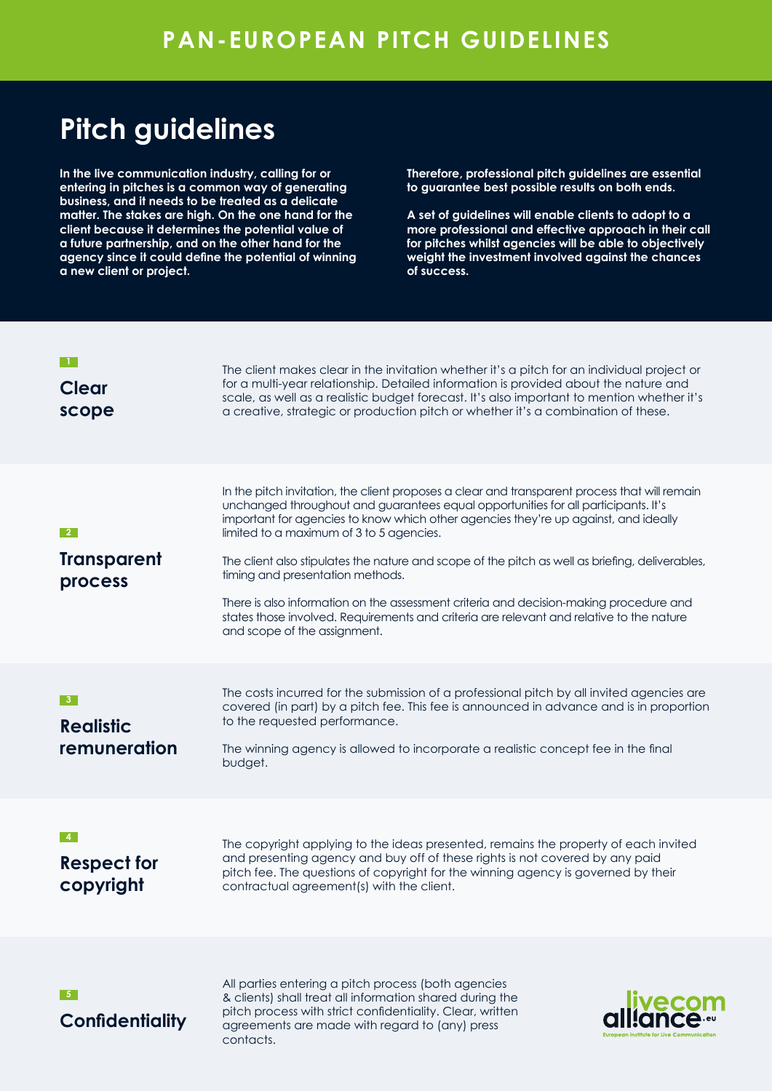# **Pitch guidelines**

**In the live communication industry, calling for or entering in pitches is a common way of generating business, and it needs to be treated as a delicate matter. The stakes are high. On the one hand for the client because it determines the potential value of a future partnership, and on the other hand for the agency since it could define the potential of winning a new client or project.** 

contacts.

**Therefore, professional pitch guidelines are essential to guarantee best possible results on both ends.** 

**A set of guidelines will enable clients to adopt to a more professional and effective approach in their call for pitches whilst agencies will be able to objectively weight the investment involved against the chances of success.**

European Institute for Live Communication

| Clear<br>scope                                | The client makes clear in the invitation whether it's a pitch for an individual project or<br>for a multi-year relationship. Detailed information is provided about the nature and<br>scale, as well as a realistic budget forecast. It's also important to mention whether it's<br>a creative, strategic or production pitch or whether it's a combination of these.                                                                                                                                                                                                                                                                                                               |
|-----------------------------------------------|-------------------------------------------------------------------------------------------------------------------------------------------------------------------------------------------------------------------------------------------------------------------------------------------------------------------------------------------------------------------------------------------------------------------------------------------------------------------------------------------------------------------------------------------------------------------------------------------------------------------------------------------------------------------------------------|
| $\mathbf{2}$<br><b>Transparent</b><br>process | In the pitch invitation, the client proposes a clear and transparent process that will remain<br>unchanged throughout and guarantees equal opportunities for all participants. It's<br>important for agencies to know which other agencies they're up against, and ideally<br>limited to a maximum of 3 to 5 agencies.<br>The client also stipulates the nature and scope of the pitch as well as briefing, deliverables,<br>timing and presentation methods.<br>There is also information on the assessment criteria and decision-making procedure and<br>states those involved. Requirements and criteria are relevant and relative to the nature<br>and scope of the assignment. |
| -3-<br><b>Realistic</b><br>remuneration       | The costs incurred for the submission of a professional pitch by all invited agencies are<br>covered (in part) by a pitch fee. This fee is announced in advance and is in proportion<br>to the requested performance.<br>The winning agency is allowed to incorporate a realistic concept fee in the final<br>budget.                                                                                                                                                                                                                                                                                                                                                               |
| $-4$<br><b>Respect for</b><br>copyright       | The copyright applying to the ideas presented, remains the property of each invited<br>and presenting agency and buy off of these rights is not covered by any paid<br>pitch fee. The questions of copyright for the winning agency is governed by their<br>contractual agreement(s) with the client.                                                                                                                                                                                                                                                                                                                                                                               |
| -5<br><b>Confidentiality</b>                  | All parties entering a pitch process (both agencies<br>& clients) shall treat all information shared during the<br>livecon<br>¤ll:ance<br>pitch process with strict confidentiality. Clear, written<br>agreements are made with regard to (any) press                                                                                                                                                                                                                                                                                                                                                                                                                               |